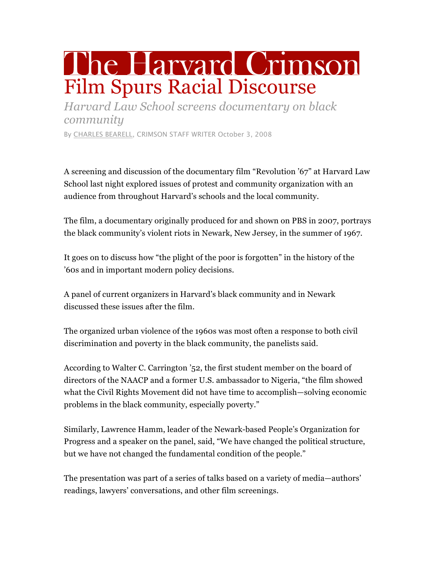## The Harvard Crimson Film Spurs Racial Discourse

*Harvard Law School screens documentary on black community*

By CHARLES BEARELL, CRIMSON STAFF WRITER October 3, 2008

A screening and discussion of the documentary film "Revolution '67" at Harvard Law School last night explored issues of protest and community organization with an audience from throughout Harvard's schools and the local community.

The film, a documentary originally produced for and shown on PBS in 2007, portrays the black community's violent riots in Newark, New Jersey, in the summer of 1967.

It goes on to discuss how "the plight of the poor is forgotten" in the history of the '60s and in important modern policy decisions.

A panel of current organizers in Harvard's black community and in Newark discussed these issues after the film.

The organized urban violence of the 1960s was most often a response to both civil discrimination and poverty in the black community, the panelists said.

According to Walter C. Carrington '52, the first student member on the board of directors of the NAACP and a former U.S. ambassador to Nigeria, "the film showed what the Civil Rights Movement did not have time to accomplish—solving economic problems in the black community, especially poverty."

Similarly, Lawrence Hamm, leader of the Newark-based People's Organization for Progress and a speaker on the panel, said, "We have changed the political structure, but we have not changed the fundamental condition of the people."

The presentation was part of a series of talks based on a variety of media—authors' readings, lawyers' conversations, and other film screenings.